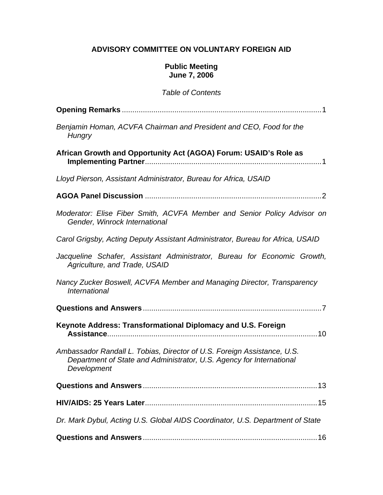# **ADVISORY COMMITTEE ON VOLUNTARY FOREIGN AID**

#### **Public Meeting June 7, 2006**

#### *Table of Contents*

| Benjamin Homan, ACVFA Chairman and President and CEO, Food for the<br>Hungry                                                                                   |
|----------------------------------------------------------------------------------------------------------------------------------------------------------------|
| African Growth and Opportunity Act (AGOA) Forum: USAID's Role as                                                                                               |
| Lloyd Pierson, Assistant Administrator, Bureau for Africa, USAID                                                                                               |
|                                                                                                                                                                |
| Moderator: Elise Fiber Smith, ACVFA Member and Senior Policy Advisor on<br>Gender, Winrock International                                                       |
| Carol Grigsby, Acting Deputy Assistant Administrator, Bureau for Africa, USAID                                                                                 |
| Jacqueline Schafer, Assistant Administrator, Bureau for Economic Growth,<br>Agriculture, and Trade, USAID                                                      |
| Nancy Zucker Boswell, ACVFA Member and Managing Director, Transparency<br><i><b>International</b></i>                                                          |
|                                                                                                                                                                |
| Keynote Address: Transformational Diplomacy and U.S. Foreign                                                                                                   |
| Ambassador Randall L. Tobias, Director of U.S. Foreign Assistance, U.S.<br>Department of State and Administrator, U.S. Agency for International<br>Development |
| <b>Questions and Answers</b><br>13                                                                                                                             |
|                                                                                                                                                                |
| Dr. Mark Dybul, Acting U.S. Global AIDS Coordinator, U.S. Department of State                                                                                  |
|                                                                                                                                                                |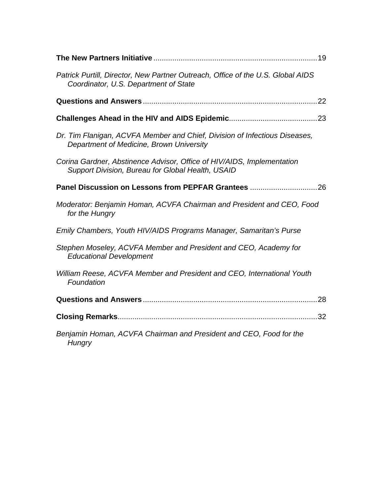| Patrick Purtill, Director, New Partner Outreach, Office of the U.S. Global AIDS<br>Coordinator, U.S. Department of State    |
|-----------------------------------------------------------------------------------------------------------------------------|
|                                                                                                                             |
|                                                                                                                             |
| Dr. Tim Flanigan, ACVFA Member and Chief, Division of Infectious Diseases,<br>Department of Medicine, Brown University      |
| Corina Gardner, Abstinence Advisor, Office of HIV/AIDS, Implementation<br>Support Division, Bureau for Global Health, USAID |
|                                                                                                                             |
| Moderator: Benjamin Homan, ACVFA Chairman and President and CEO, Food<br>for the Hungry                                     |
| Emily Chambers, Youth HIV/AIDS Programs Manager, Samaritan's Purse                                                          |
| Stephen Moseley, ACVFA Member and President and CEO, Academy for<br><b>Educational Development</b>                          |
| William Reese, ACVFA Member and President and CEO, International Youth<br>Foundation                                        |
| 28                                                                                                                          |
|                                                                                                                             |
| Benjamin Homan, ACVFA Chairman and President and CEO, Food for the<br>Hungry                                                |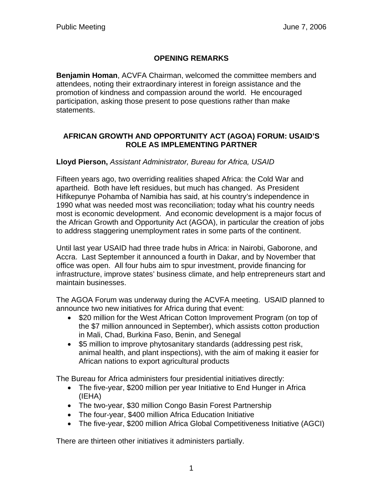# **OPENING REMARKS**

**Benjamin Homan**, ACVFA Chairman, welcomed the committee members and attendees, noting their extraordinary interest in foreign assistance and the promotion of kindness and compassion around the world. He encouraged participation, asking those present to pose questions rather than make statements.

#### **AFRICAN GROWTH AND OPPORTUNITY ACT (AGOA) FORUM: USAID'S ROLE AS IMPLEMENTING PARTNER**

#### **Lloyd Pierson,** *Assistant Administrator, Bureau for Africa, USAID*

Fifteen years ago, two overriding realities shaped Africa: the Cold War and apartheid. Both have left residues, but much has changed. As President Hifikepunye Pohamba of Namibia has said, at his country's independence in 1990 what was needed most was reconciliation; today what his country needs most is economic development. And economic development is a major focus of the African Growth and Opportunity Act (AGOA), in particular the creation of jobs to address staggering unemployment rates in some parts of the continent.

Until last year USAID had three trade hubs in Africa: in Nairobi, Gaborone, and Accra. Last September it announced a fourth in Dakar, and by November that office was open. All four hubs aim to spur investment, provide financing for infrastructure, improve states' business climate, and help entrepreneurs start and maintain businesses.

The AGOA Forum was underway during the ACVFA meeting. USAID planned to announce two new initiatives for Africa during that event:

- \$20 million for the West African Cotton Improvement Program (on top of the \$7 million announced in September), which assists cotton production in Mali, Chad, Burkina Faso, Benin, and Senegal
- \$5 million to improve phytosanitary standards (addressing pest risk, animal health, and plant inspections), with the aim of making it easier for African nations to export agricultural products

The Bureau for Africa administers four presidential initiatives directly:

- The five-year, \$200 million per year Initiative to End Hunger in Africa (IEHA)
- The two-year, \$30 million Congo Basin Forest Partnership
- The four-year, \$400 million Africa Education Initiative
- The five-year, \$200 million Africa Global Competitiveness Initiative (AGCI)

There are thirteen other initiatives it administers partially.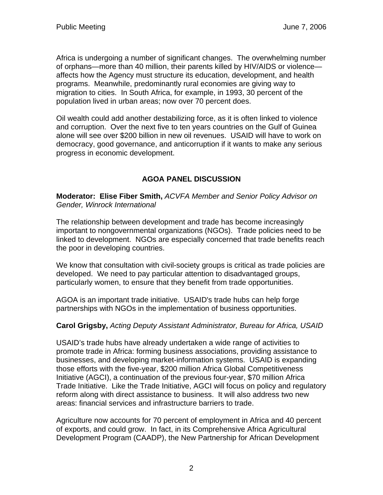Africa is undergoing a number of significant changes. The overwhelming number of orphans—more than 40 million, their parents killed by HIV/AIDS or violence affects how the Agency must structure its education, development, and health programs. Meanwhile, predominantly rural economies are giving way to migration to cities. In South Africa, for example, in 1993, 30 percent of the population lived in urban areas; now over 70 percent does.

Oil wealth could add another destabilizing force, as it is often linked to violence and corruption. Over the next five to ten years countries on the Gulf of Guinea alone will see over \$200 billion in new oil revenues. USAID will have to work on democracy, good governance, and anticorruption if it wants to make any serious progress in economic development.

# **AGOA PANEL DISCUSSION**

**Moderator: Elise Fiber Smith,** *ACVFA Member and Senior Policy Advisor on Gender, Winrock International* 

The relationship between development and trade has become increasingly important to nongovernmental organizations (NGOs). Trade policies need to be linked to development. NGOs are especially concerned that trade benefits reach the poor in developing countries.

We know that consultation with civil-society groups is critical as trade policies are developed. We need to pay particular attention to disadvantaged groups, particularly women, to ensure that they benefit from trade opportunities.

AGOA is an important trade initiative. USAID's trade hubs can help forge partnerships with NGOs in the implementation of business opportunities.

#### **Carol Grigsby,** *Acting Deputy Assistant Administrator, Bureau for Africa, USAID*

USAID's trade hubs have already undertaken a wide range of activities to promote trade in Africa: forming business associations, providing assistance to businesses, and developing market-information systems. USAID is expanding those efforts with the five-year, \$200 million Africa Global Competitiveness Initiative (AGCI), a continuation of the previous four-year, \$70 million Africa Trade Initiative. Like the Trade Initiative, AGCI will focus on policy and regulatory reform along with direct assistance to business. It will also address two new areas: financial services and infrastructure barriers to trade.

Agriculture now accounts for 70 percent of employment in Africa and 40 percent of exports, and could grow. In fact, in its Comprehensive Africa Agricultural Development Program (CAADP), the New Partnership for African Development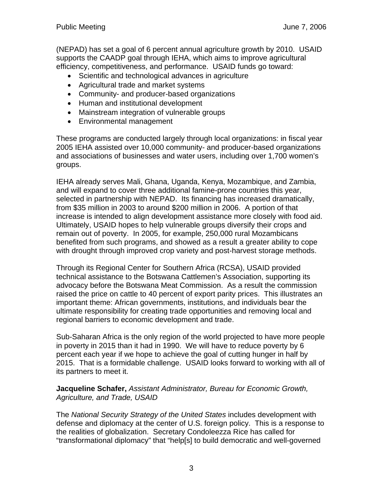(NEPAD) has set a goal of 6 percent annual agriculture growth by 2010. USAID supports the CAADP goal through IEHA, which aims to improve agricultural efficiency, competitiveness, and performance. USAID funds go toward:

- Scientific and technological advances in agriculture
- Agricultural trade and market systems
- Community- and producer-based organizations
- Human and institutional development
- Mainstream integration of vulnerable groups
- Environmental management

These programs are conducted largely through local organizations: in fiscal year 2005 IEHA assisted over 10,000 community- and producer-based organizations and associations of businesses and water users, including over 1,700 women's groups.

IEHA already serves Mali, Ghana, Uganda, Kenya, Mozambique, and Zambia, and will expand to cover three additional famine-prone countries this year, selected in partnership with NEPAD. Its financing has increased dramatically, from \$35 million in 2003 to around \$200 million in 2006. A portion of that increase is intended to align development assistance more closely with food aid. Ultimately, USAID hopes to help vulnerable groups diversify their crops and remain out of poverty. In 2005, for example, 250,000 rural Mozambicans benefited from such programs, and showed as a result a greater ability to cope with drought through improved crop variety and post-harvest storage methods.

Through its Regional Center for Southern Africa (RCSA), USAID provided technical assistance to the Botswana Cattlemen's Association, supporting its advocacy before the Botswana Meat Commission. As a result the commission raised the price on cattle to 40 percent of export parity prices. This illustrates an important theme: African governments, institutions, and individuals bear the ultimate responsibility for creating trade opportunities and removing local and regional barriers to economic development and trade.

Sub-Saharan Africa is the only region of the world projected to have more people in poverty in 2015 than it had in 1990. We will have to reduce poverty by 6 percent each year if we hope to achieve the goal of cutting hunger in half by 2015. That is a formidable challenge. USAID looks forward to working with all of its partners to meet it.

#### **Jacqueline Schafer,** *Assistant Administrator, Bureau for Economic Growth, Agriculture, and Trade, USAID*

The *National Security Strategy of the United States* includes development with defense and diplomacy at the center of U.S. foreign policy. This is a response to the realities of globalization. Secretary Condoleezza Rice has called for "transformational diplomacy" that "help[s] to build democratic and well-governed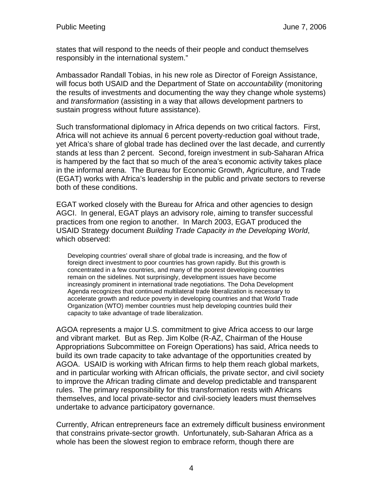states that will respond to the needs of their people and conduct themselves responsibly in the international system."

Ambassador Randall Tobias, in his new role as Director of Foreign Assistance, will focus both USAID and the Department of State on *accountability* (monitoring the results of investments and documenting the way they change whole systems) and *transformation* (assisting in a way that allows development partners to sustain progress without future assistance).

Such transformational diplomacy in Africa depends on two critical factors. First, Africa will not achieve its annual 6 percent poverty-reduction goal without trade, yet Africa's share of global trade has declined over the last decade, and currently stands at less than 2 percent. Second, foreign investment in sub-Saharan Africa is hampered by the fact that so much of the area's economic activity takes place in the informal arena. The Bureau for Economic Growth, Agriculture, and Trade (EGAT) works with Africa's leadership in the public and private sectors to reverse both of these conditions.

EGAT worked closely with the Bureau for Africa and other agencies to design AGCI. In general, EGAT plays an advisory role, aiming to transfer successful practices from one region to another. In March 2003, EGAT produced the USAID Strategy document *Building Trade Capacity in the Developing World*, which observed:

Developing countries' overall share of global trade is increasing, and the flow of foreign direct investment to poor countries has grown rapidly. But this growth is concentrated in a few countries, and many of the poorest developing countries remain on the sidelines. Not surprisingly, development issues have become increasingly prominent in international trade negotiations. The Doha Development Agenda recognizes that continued multilateral trade liberalization is necessary to accelerate growth and reduce poverty in developing countries and that World Trade Organization (WTO) member countries must help developing countries build their capacity to take advantage of trade liberalization.

AGOA represents a major U.S. commitment to give Africa access to our large and vibrant market. But as Rep. Jim Kolbe (R-AZ, Chairman of the House Appropriations Subcommittee on Foreign Operations) has said, Africa needs to build its own trade capacity to take advantage of the opportunities created by AGOA. USAID is working with African firms to help them reach global markets, and in particular working with African officials, the private sector, and civil society to improve the African trading climate and develop predictable and transparent rules. The primary responsibility for this transformation rests with Africans themselves, and local private-sector and civil-society leaders must themselves undertake to advance participatory governance.

Currently, African entrepreneurs face an extremely difficult business environment that constrains private-sector growth. Unfortunately, sub-Saharan Africa as a whole has been the slowest region to embrace reform, though there are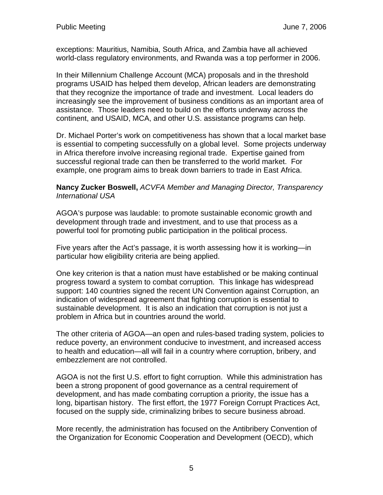exceptions: Mauritius, Namibia, South Africa, and Zambia have all achieved world-class regulatory environments, and Rwanda was a top performer in 2006.

In their Millennium Challenge Account (MCA) proposals and in the threshold programs USAID has helped them develop, African leaders are demonstrating that they recognize the importance of trade and investment. Local leaders do increasingly see the improvement of business conditions as an important area of assistance. Those leaders need to build on the efforts underway across the continent, and USAID, MCA, and other U.S. assistance programs can help.

Dr. Michael Porter's work on competitiveness has shown that a local market base is essential to competing successfully on a global level. Some projects underway in Africa therefore involve increasing regional trade. Expertise gained from successful regional trade can then be transferred to the world market. For example, one program aims to break down barriers to trade in East Africa.

**Nancy Zucker Boswell,** *ACVFA Member and Managing Director, Transparency International USA*

AGOA's purpose was laudable: to promote sustainable economic growth and development through trade and investment, and to use that process as a powerful tool for promoting public participation in the political process.

Five years after the Act's passage, it is worth assessing how it is working—in particular how eligibility criteria are being applied.

One key criterion is that a nation must have established or be making continual progress toward a system to combat corruption. This linkage has widespread support: 140 countries signed the recent UN Convention against Corruption, an indication of widespread agreement that fighting corruption is essential to sustainable development. It is also an indication that corruption is not just a problem in Africa but in countries around the world.

The other criteria of AGOA—an open and rules-based trading system, policies to reduce poverty, an environment conducive to investment, and increased access to health and education—all will fail in a country where corruption, bribery, and embezzlement are not controlled.

AGOA is not the first U.S. effort to fight corruption. While this administration has been a strong proponent of good governance as a central requirement of development, and has made combating corruption a priority, the issue has a long, bipartisan history. The first effort, the 1977 Foreign Corrupt Practices Act, focused on the supply side, criminalizing bribes to secure business abroad.

More recently, the administration has focused on the Antibribery Convention of the Organization for Economic Cooperation and Development (OECD), which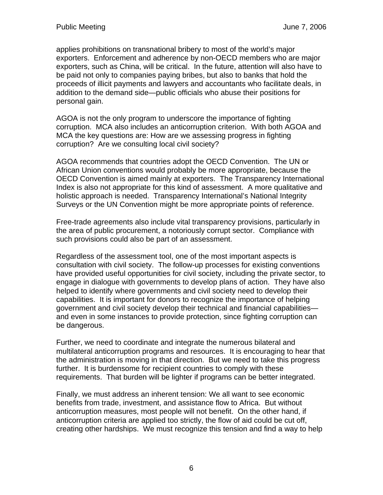applies prohibitions on transnational bribery to most of the world's major exporters. Enforcement and adherence by non-OECD members who are major exporters, such as China, will be critical. In the future, attention will also have to be paid not only to companies paying bribes, but also to banks that hold the proceeds of illicit payments and lawyers and accountants who facilitate deals, in addition to the demand side—public officials who abuse their positions for personal gain.

AGOA is not the only program to underscore the importance of fighting corruption. MCA also includes an anticorruption criterion. With both AGOA and MCA the key questions are: How are we assessing progress in fighting corruption? Are we consulting local civil society?

AGOA recommends that countries adopt the OECD Convention. The UN or African Union conventions would probably be more appropriate, because the OECD Convention is aimed mainly at exporters. The Transparency International Index is also not appropriate for this kind of assessment. A more qualitative and holistic approach is needed. Transparency International's National Integrity Surveys or the UN Convention might be more appropriate points of reference.

Free-trade agreements also include vital transparency provisions, particularly in the area of public procurement, a notoriously corrupt sector. Compliance with such provisions could also be part of an assessment.

Regardless of the assessment tool, one of the most important aspects is consultation with civil society. The follow-up processes for existing conventions have provided useful opportunities for civil society, including the private sector, to engage in dialogue with governments to develop plans of action. They have also helped to identify where governments and civil society need to develop their capabilities. It is important for donors to recognize the importance of helping government and civil society develop their technical and financial capabilities and even in some instances to provide protection, since fighting corruption can be dangerous.

Further, we need to coordinate and integrate the numerous bilateral and multilateral anticorruption programs and resources. It is encouraging to hear that the administration is moving in that direction. But we need to take this progress further. It is burdensome for recipient countries to comply with these requirements. That burden will be lighter if programs can be better integrated.

Finally, we must address an inherent tension: We all want to see economic benefits from trade, investment, and assistance flow to Africa. But without anticorruption measures, most people will not benefit. On the other hand, if anticorruption criteria are applied too strictly, the flow of aid could be cut off, creating other hardships. We must recognize this tension and find a way to help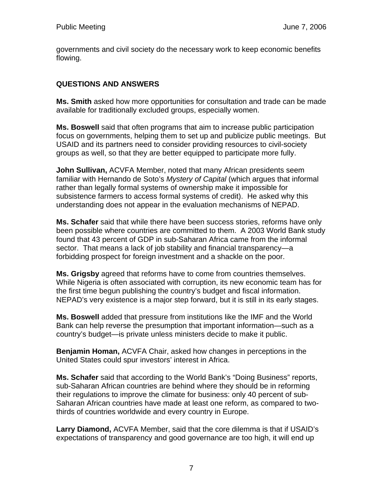governments and civil society do the necessary work to keep economic benefits flowing.

# **QUESTIONS AND ANSWERS**

**Ms. Smith** asked how more opportunities for consultation and trade can be made available for traditionally excluded groups, especially women.

**Ms. Boswell** said that often programs that aim to increase public participation focus on governments, helping them to set up and publicize public meetings. But USAID and its partners need to consider providing resources to civil-society groups as well, so that they are better equipped to participate more fully.

**John Sullivan,** ACVFA Member, noted that many African presidents seem familiar with Hernando de Soto's *Mystery of Capital* (which argues that informal rather than legally formal systems of ownership make it impossible for subsistence farmers to access formal systems of credit). He asked why this understanding does not appear in the evaluation mechanisms of NEPAD.

**Ms. Schafer** said that while there have been success stories, reforms have only been possible where countries are committed to them. A 2003 World Bank study found that 43 percent of GDP in sub-Saharan Africa came from the informal sector. That means a lack of job stability and financial transparency—a forbidding prospect for foreign investment and a shackle on the poor.

**Ms. Grigsby** agreed that reforms have to come from countries themselves. While Nigeria is often associated with corruption, its new economic team has for the first time begun publishing the country's budget and fiscal information. NEPAD's very existence is a major step forward, but it is still in its early stages.

**Ms. Boswell** added that pressure from institutions like the IMF and the World Bank can help reverse the presumption that important information—such as a country's budget—is private unless ministers decide to make it public.

**Benjamin Homan,** ACVFA Chair, asked how changes in perceptions in the United States could spur investors' interest in Africa.

**Ms. Schafer** said that according to the World Bank's "Doing Business" reports, sub-Saharan African countries are behind where they should be in reforming their regulations to improve the climate for business: only 40 percent of sub-Saharan African countries have made at least one reform, as compared to twothirds of countries worldwide and every country in Europe.

**Larry Diamond,** ACVFA Member, said that the core dilemma is that if USAID's expectations of transparency and good governance are too high, it will end up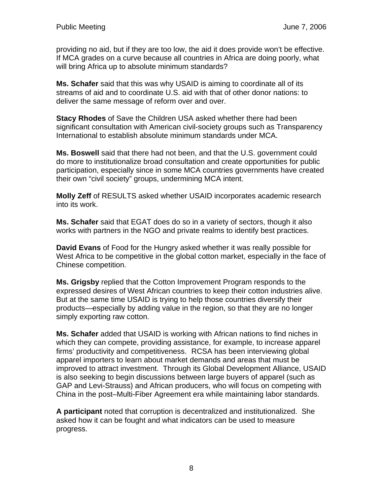providing no aid, but if they are too low, the aid it does provide won't be effective. If MCA grades on a curve because all countries in Africa are doing poorly, what will bring Africa up to absolute minimum standards?

**Ms. Schafer** said that this was why USAID is aiming to coordinate all of its streams of aid and to coordinate U.S. aid with that of other donor nations: to deliver the same message of reform over and over.

**Stacy Rhodes** of Save the Children USA asked whether there had been significant consultation with American civil-society groups such as Transparency International to establish absolute minimum standards under MCA.

**Ms. Boswell** said that there had not been, and that the U.S. government could do more to institutionalize broad consultation and create opportunities for public participation, especially since in some MCA countries governments have created their own "civil society" groups, undermining MCA intent.

**Molly Zeff** of RESULTS asked whether USAID incorporates academic research into its work.

**Ms. Schafer** said that EGAT does do so in a variety of sectors, though it also works with partners in the NGO and private realms to identify best practices.

**David Evans** of Food for the Hungry asked whether it was really possible for West Africa to be competitive in the global cotton market, especially in the face of Chinese competition.

**Ms. Grigsby** replied that the Cotton Improvement Program responds to the expressed desires of West African countries to keep their cotton industries alive. But at the same time USAID is trying to help those countries diversify their products—especially by adding value in the region, so that they are no longer simply exporting raw cotton.

**Ms. Schafer** added that USAID is working with African nations to find niches in which they can compete, providing assistance, for example, to increase apparel firms' productivity and competitiveness. RCSA has been interviewing global apparel importers to learn about market demands and areas that must be improved to attract investment. Through its Global Development Alliance, USAID is also seeking to begin discussions between large buyers of apparel (such as GAP and Levi-Strauss) and African producers, who will focus on competing with China in the post–Multi-Fiber Agreement era while maintaining labor standards.

**A participant** noted that corruption is decentralized and institutionalized. She asked how it can be fought and what indicators can be used to measure progress.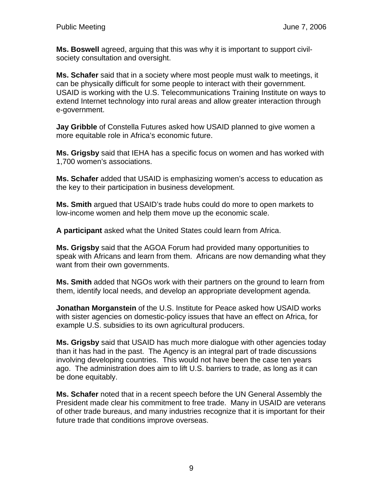**Ms. Boswell** agreed, arguing that this was why it is important to support civilsociety consultation and oversight.

**Ms. Schafer** said that in a society where most people must walk to meetings, it can be physically difficult for some people to interact with their government. USAID is working with the U.S. Telecommunications Training Institute on ways to extend Internet technology into rural areas and allow greater interaction through e-government.

**Jay Gribble** of Constella Futures asked how USAID planned to give women a more equitable role in Africa's economic future.

**Ms. Grigsby** said that IEHA has a specific focus on women and has worked with 1,700 women's associations.

**Ms. Schafer** added that USAID is emphasizing women's access to education as the key to their participation in business development.

**Ms. Smith** argued that USAID's trade hubs could do more to open markets to low-income women and help them move up the economic scale.

**A participant** asked what the United States could learn from Africa.

**Ms. Grigsby** said that the AGOA Forum had provided many opportunities to speak with Africans and learn from them. Africans are now demanding what they want from their own governments.

**Ms. Smith** added that NGOs work with their partners on the ground to learn from them, identify local needs, and develop an appropriate development agenda.

**Jonathan Morganstein** of the U.S. Institute for Peace asked how USAID works with sister agencies on domestic-policy issues that have an effect on Africa, for example U.S. subsidies to its own agricultural producers.

**Ms. Grigsby** said that USAID has much more dialogue with other agencies today than it has had in the past. The Agency is an integral part of trade discussions involving developing countries. This would not have been the case ten years ago. The administration does aim to lift U.S. barriers to trade, as long as it can be done equitably.

**Ms. Schafer** noted that in a recent speech before the UN General Assembly the President made clear his commitment to free trade. Many in USAID are veterans of other trade bureaus, and many industries recognize that it is important for their future trade that conditions improve overseas.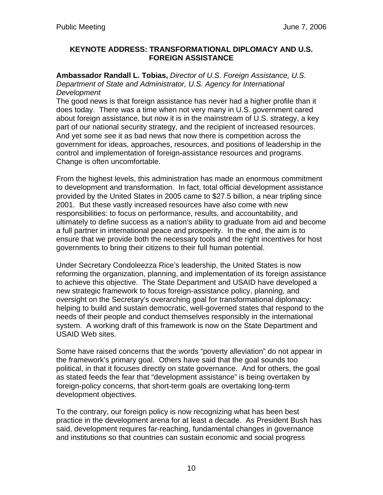#### **KEYNOTE ADDRESS: TRANSFORMATIONAL DIPLOMACY AND U.S. FOREIGN ASSISTANCE**

**Ambassador Randall L. Tobias,** *Director of U.S. Foreign Assistance, U.S. Department of State and Administrator, U.S. Agency for International Development*

The good news is that foreign assistance has never had a higher profile than it does today. There was a time when not very many in U.S. government cared about foreign assistance, but now it is in the mainstream of U.S. strategy, a key part of our national security strategy, and the recipient of increased resources. And yet some see it as bad news that now there is competition across the government for ideas, approaches, resources, and positions of leadership in the control and implementation of foreign-assistance resources and programs. Change is often uncomfortable.

From the highest levels, this administration has made an enormous commitment to development and transformation. In fact, total official development assistance provided by the United States in 2005 came to \$27.5 billion, a near tripling since 2001. But these vastly increased resources have also come with new responsibilities: to focus on performance, results, and accountability, and ultimately to define success as a nation's ability to graduate from aid and become a full partner in international peace and prosperity. In the end, the aim is to ensure that we provide both the necessary tools and the right incentives for host governments to bring their citizens to their full human potential.

Under Secretary Condoleezza Rice's leadership, the United States is now reforming the organization, planning, and implementation of its foreign assistance to achieve this objective. The State Department and USAID have developed a new strategic framework to focus foreign-assistance policy, planning, and oversight on the Secretary's overarching goal for transformational diplomacy: helping to build and sustain democratic, well-governed states that respond to the needs of their people and conduct themselves responsibly in the international system. A working draft of this framework is now on the State Department and USAID Web sites.

Some have raised concerns that the words "poverty alleviation" do not appear in the framework's primary goal. Others have said that the goal sounds too political, in that it focuses directly on state governance. And for others, the goal as stated feeds the fear that "development assistance" is being overtaken by foreign-policy concerns, that short-term goals are overtaking long-term development objectives.

To the contrary, our foreign policy is now recognizing what has been best practice in the development arena for at least a decade. As President Bush has said, development requires far-reaching, fundamental changes in governance and institutions so that countries can sustain economic and social progress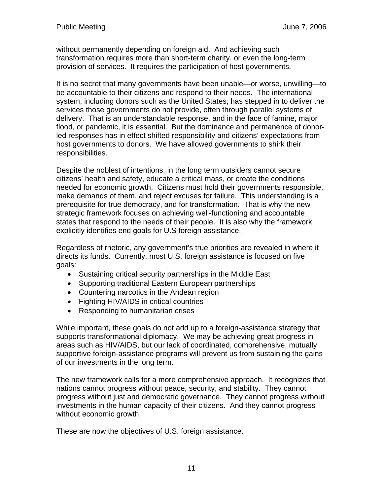without permanently depending on foreign aid. And achieving such transformation requires more than short-term charity, or even the long-term provision of services. It requires the participation of host governments.

It is no secret that many governments have been unable—or worse, unwilling—to be accountable to their citizens and respond to their needs. The international system, including donors such as the United States, has stepped in to deliver the services those governments do not provide, often through parallel systems of delivery. That is an understandable response, and in the face of famine, major flood, or pandemic, it is essential. But the dominance and permanence of donorled responses has in effect shifted responsibility and citizens' expectations from host governments to donors. We have allowed governments to shirk their responsibilities.

Despite the noblest of intentions, in the long term outsiders cannot secure citizens' health and safety, educate a critical mass, or create the conditions needed for economic growth. Citizens must hold their governments responsible, make demands of them, and reject excuses for failure. This understanding is a prerequisite for true democracy, and for transformation. That is why the new strategic framework focuses on achieving well-functioning and accountable states that respond to the needs of their people. It is also why the framework explicitly identifies end goals for U.S foreign assistance.

Regardless of rhetoric, any government's true priorities are revealed in where it directs its funds. Currently, most U.S. foreign assistance is focused on five goals:

- Sustaining critical security partnerships in the Middle East
- Supporting traditional Eastern European partnerships
- Countering narcotics in the Andean region
- Fighting HIV/AIDS in critical countries
- Responding to humanitarian crises

While important, these goals do not add up to a foreign-assistance strategy that supports transformational diplomacy. We may be achieving great progress in areas such as HIV/AIDS, but our lack of coordinated, comprehensive, mutually supportive foreign-assistance programs will prevent us from sustaining the gains of our investments in the long term.

The new framework calls for a more comprehensive approach. It recognizes that nations cannot progress without peace, security, and stability. They cannot progress without just and democratic governance. They cannot progress without investments in the human capacity of their citizens. And they cannot progress without economic growth.

These are now the objectives of U.S. foreign assistance.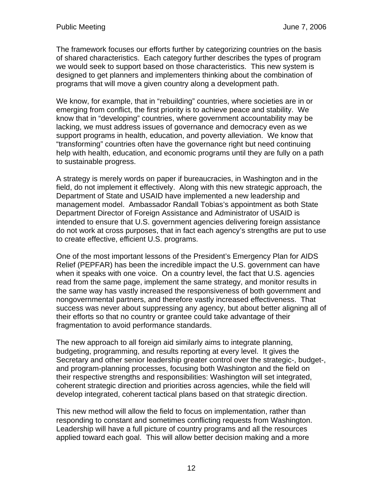The framework focuses our efforts further by categorizing countries on the basis of shared characteristics. Each category further describes the types of program we would seek to support based on those characteristics. This new system is designed to get planners and implementers thinking about the combination of programs that will move a given country along a development path.

We know, for example, that in "rebuilding" countries, where societies are in or emerging from conflict, the first priority is to achieve peace and stability. We know that in "developing" countries, where government accountability may be lacking, we must address issues of governance and democracy even as we support programs in health, education, and poverty alleviation. We know that "transforming" countries often have the governance right but need continuing help with health, education, and economic programs until they are fully on a path to sustainable progress.

A strategy is merely words on paper if bureaucracies, in Washington and in the field, do not implement it effectively. Along with this new strategic approach, the Department of State and USAID have implemented a new leadership and management model. Ambassador Randall Tobias's appointment as both State Department Director of Foreign Assistance and Administrator of USAID is intended to ensure that U.S. government agencies delivering foreign assistance do not work at cross purposes, that in fact each agency's strengths are put to use to create effective, efficient U.S. programs.

One of the most important lessons of the President's Emergency Plan for AIDS Relief (PEPFAR) has been the incredible impact the U.S. government can have when it speaks with one voice. On a country level, the fact that U.S. agencies read from the same page, implement the same strategy, and monitor results in the same way has vastly increased the responsiveness of both government and nongovernmental partners, and therefore vastly increased effectiveness. That success was never about suppressing any agency, but about better aligning all of their efforts so that no country or grantee could take advantage of their fragmentation to avoid performance standards.

The new approach to all foreign aid similarly aims to integrate planning, budgeting, programming, and results reporting at every level. It gives the Secretary and other senior leadership greater control over the strategic-, budget-, and program-planning processes, focusing both Washington and the field on their respective strengths and responsibilities: Washington will set integrated, coherent strategic direction and priorities across agencies, while the field will develop integrated, coherent tactical plans based on that strategic direction.

This new method will allow the field to focus on implementation, rather than responding to constant and sometimes conflicting requests from Washington. Leadership will have a full picture of country programs and all the resources applied toward each goal. This will allow better decision making and a more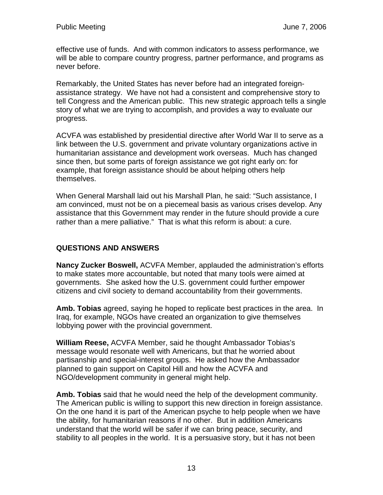effective use of funds. And with common indicators to assess performance, we will be able to compare country progress, partner performance, and programs as never before.

Remarkably, the United States has never before had an integrated foreignassistance strategy. We have not had a consistent and comprehensive story to tell Congress and the American public. This new strategic approach tells a single story of what we are trying to accomplish, and provides a way to evaluate our progress.

ACVFA was established by presidential directive after World War II to serve as a link between the U.S. government and private voluntary organizations active in humanitarian assistance and development work overseas. Much has changed since then, but some parts of foreign assistance we got right early on: for example, that foreign assistance should be about helping others help themselves.

When General Marshall laid out his Marshall Plan, he said: "Such assistance, I am convinced, must not be on a piecemeal basis as various crises develop. Any assistance that this Government may render in the future should provide a cure rather than a mere palliative." That is what this reform is about: a cure.

# **QUESTIONS AND ANSWERS**

**Nancy Zucker Boswell,** ACVFA Member, applauded the administration's efforts to make states more accountable, but noted that many tools were aimed at governments. She asked how the U.S. government could further empower citizens and civil society to demand accountability from their governments.

**Amb. Tobias** agreed, saying he hoped to replicate best practices in the area. In Iraq, for example, NGOs have created an organization to give themselves lobbying power with the provincial government.

**William Reese,** ACVFA Member, said he thought Ambassador Tobias's message would resonate well with Americans, but that he worried about partisanship and special-interest groups. He asked how the Ambassador planned to gain support on Capitol Hill and how the ACVFA and NGO/development community in general might help.

**Amb. Tobias** said that he would need the help of the development community. The American public is willing to support this new direction in foreign assistance. On the one hand it is part of the American psyche to help people when we have the ability, for humanitarian reasons if no other. But in addition Americans understand that the world will be safer if we can bring peace, security, and stability to all peoples in the world. It is a persuasive story, but it has not been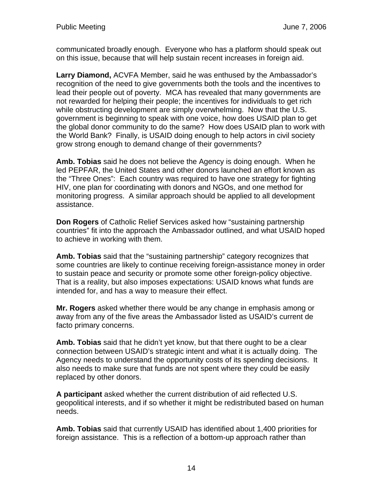communicated broadly enough. Everyone who has a platform should speak out on this issue, because that will help sustain recent increases in foreign aid.

**Larry Diamond,** ACVFA Member, said he was enthused by the Ambassador's recognition of the need to give governments both the tools and the incentives to lead their people out of poverty. MCA has revealed that many governments are not rewarded for helping their people; the incentives for individuals to get rich while obstructing development are simply overwhelming. Now that the U.S. government is beginning to speak with one voice, how does USAID plan to get the global donor community to do the same? How does USAID plan to work with the World Bank? Finally, is USAID doing enough to help actors in civil society grow strong enough to demand change of their governments?

**Amb. Tobias** said he does not believe the Agency is doing enough. When he led PEPFAR, the United States and other donors launched an effort known as the "Three Ones": Each country was required to have one strategy for fighting HIV, one plan for coordinating with donors and NGOs, and one method for monitoring progress. A similar approach should be applied to all development assistance.

**Don Rogers** of Catholic Relief Services asked how "sustaining partnership countries" fit into the approach the Ambassador outlined, and what USAID hoped to achieve in working with them.

**Amb. Tobias** said that the "sustaining partnership" category recognizes that some countries are likely to continue receiving foreign-assistance money in order to sustain peace and security or promote some other foreign-policy objective. That is a reality, but also imposes expectations: USAID knows what funds are intended for, and has a way to measure their effect.

**Mr. Rogers** asked whether there would be any change in emphasis among or away from any of the five areas the Ambassador listed as USAID's current de facto primary concerns.

**Amb. Tobias** said that he didn't yet know, but that there ought to be a clear connection between USAID's strategic intent and what it is actually doing. The Agency needs to understand the opportunity costs of its spending decisions. It also needs to make sure that funds are not spent where they could be easily replaced by other donors.

**A participant** asked whether the current distribution of aid reflected U.S. geopolitical interests, and if so whether it might be redistributed based on human needs.

**Amb. Tobias** said that currently USAID has identified about 1,400 priorities for foreign assistance. This is a reflection of a bottom-up approach rather than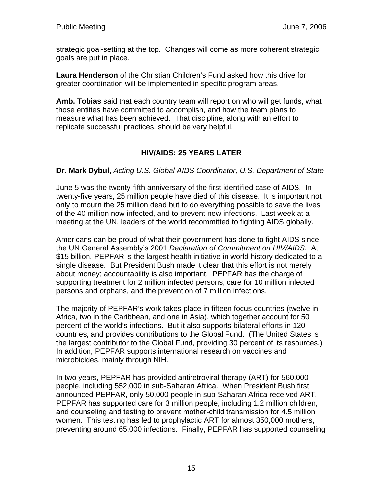strategic goal-setting at the top. Changes will come as more coherent strategic goals are put in place.

**Laura Henderson** of the Christian Children's Fund asked how this drive for greater coordination will be implemented in specific program areas.

**Amb. Tobias** said that each country team will report on who will get funds, what those entities have committed to accomplish, and how the team plans to measure what has been achieved. That discipline, along with an effort to replicate successful practices, should be very helpful.

# **HIV/AIDS: 25 YEARS LATER**

#### **Dr. Mark Dybul,** *Acting U.S. Global AIDS Coordinator, U.S. Department of State*

June 5 was the twenty-fifth anniversary of the first identified case of AIDS. In twenty-five years, 25 million people have died of this disease. It is important not only to mourn the 25 million dead but to do everything possible to save the lives of the 40 million now infected, and to prevent new infections. Last week at a meeting at the UN, leaders of the world recommitted to fighting AIDS globally.

Americans can be proud of what their government has done to fight AIDS since the UN General Assembly's 2001 *Declaration of Commitment on HIV/AIDS*. At \$15 billion, PEPFAR is the largest health initiative in world history dedicated to a single disease. But President Bush made it clear that this effort is not merely about money; accountability is also important. PEPFAR has the charge of supporting treatment for 2 million infected persons, care for 10 million infected persons and orphans, and the prevention of 7 million infections.

The majority of PEPFAR's work takes place in fifteen focus countries (twelve in Africa, two in the Caribbean, and one in Asia), which together account for 50 percent of the world's infections. But it also supports bilateral efforts in 120 countries, and provides contributions to the Global Fund. (The United States is the largest contributor to the Global Fund, providing 30 percent of its resources.) In addition, PEPFAR supports international research on vaccines and microbicides, mainly through NIH.

In two years, PEPFAR has provided antiretroviral therapy (ART) for 560,000 people, including 552,000 in sub-Saharan Africa. When President Bush first announced PEPFAR, only 50,000 people in sub-Saharan Africa received ART. PEPFAR has supported care for 3 million people, including 1.2 million children, and counseling and testing to prevent mother-child transmission for 4.5 million women. This testing has led to prophylactic ART for almost 350,000 mothers, preventing around 65,000 infections. Finally, PEPFAR has supported counseling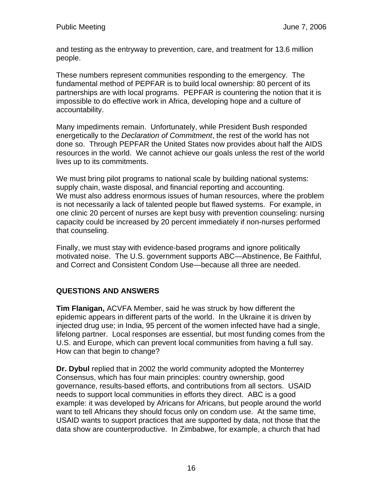and testing as the entryway to prevention, care, and treatment for 13.6 million people.

These numbers represent communities responding to the emergency. The fundamental method of PEPFAR is to build local ownership: 80 percent of its partnerships are with local programs. PEPFAR is countering the notion that it is impossible to do effective work in Africa, developing hope and a culture of accountability.

Many impediments remain. Unfortunately, while President Bush responded energetically to the *Declaration of Commitment*, the rest of the world has not done so. Through PEPFAR the United States now provides about half the AIDS resources in the world. We cannot achieve our goals unless the rest of the world lives up to its commitments.

We must bring pilot programs to national scale by building national systems: supply chain, waste disposal, and financial reporting and accounting. We must also address enormous issues of human resources, where the problem is not necessarily a lack of talented people but flawed systems. For example, in one clinic 20 percent of nurses are kept busy with prevention counseling: nursing capacity could be increased by 20 percent immediately if non-nurses performed that counseling.

Finally, we must stay with evidence-based programs and ignore politically motivated noise. The U.S. government supports ABC—Abstinence, Be Faithful, and Correct and Consistent Condom Use—because all three are needed.

# **QUESTIONS AND ANSWERS**

**Tim Flanigan,** ACVFA Member, said he was struck by how different the epidemic appears in different parts of the world. In the Ukraine it is driven by injected drug use; in India, 95 percent of the women infected have had a single, lifelong partner. Local responses are essential, but most funding comes from the U.S. and Europe, which can prevent local communities from having a full say. How can that begin to change?

**Dr. Dybul** replied that in 2002 the world community adopted the Monterrey Consensus, which has four main principles: country ownership, good governance, results-based efforts, and contributions from all sectors. USAID needs to support local communities in efforts they direct. ABC is a good example: it was developed by Africans for Africans, but people around the world want to tell Africans they should focus only on condom use. At the same time, USAID wants to support practices that are supported by data, not those that the data show are counterproductive. In Zimbabwe, for example, a church that had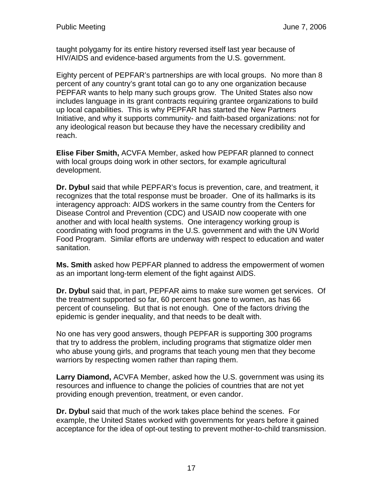taught polygamy for its entire history reversed itself last year because of HIV/AIDS and evidence-based arguments from the U.S. government.

Eighty percent of PEPFAR's partnerships are with local groups. No more than 8 percent of any country's grant total can go to any one organization because PEPFAR wants to help many such groups grow. The United States also now includes language in its grant contracts requiring grantee organizations to build up local capabilities. This is why PEPFAR has started the New Partners Initiative, and why it supports community- and faith-based organizations: not for any ideological reason but because they have the necessary credibility and reach.

**Elise Fiber Smith,** ACVFA Member, asked how PEPFAR planned to connect with local groups doing work in other sectors, for example agricultural development.

**Dr. Dybul** said that while PEPFAR's focus is prevention, care, and treatment, it recognizes that the total response must be broader. One of its hallmarks is its interagency approach: AIDS workers in the same country from the Centers for Disease Control and Prevention (CDC) and USAID now cooperate with one another and with local health systems. One interagency working group is coordinating with food programs in the U.S. government and with the UN World Food Program. Similar efforts are underway with respect to education and water sanitation.

**Ms. Smith** asked how PEPFAR planned to address the empowerment of women as an important long-term element of the fight against AIDS.

**Dr. Dybul** said that, in part, PEPFAR aims to make sure women get services. Of the treatment supported so far, 60 percent has gone to women, as has 66 percent of counseling. But that is not enough. One of the factors driving the epidemic is gender inequality, and that needs to be dealt with.

No one has very good answers, though PEPFAR is supporting 300 programs that try to address the problem, including programs that stigmatize older men who abuse young girls, and programs that teach young men that they become warriors by respecting women rather than raping them.

**Larry Diamond,** ACVFA Member, asked how the U.S. government was using its resources and influence to change the policies of countries that are not yet providing enough prevention, treatment, or even candor.

**Dr. Dybul** said that much of the work takes place behind the scenes. For example, the United States worked with governments for years before it gained acceptance for the idea of opt-out testing to prevent mother-to-child transmission.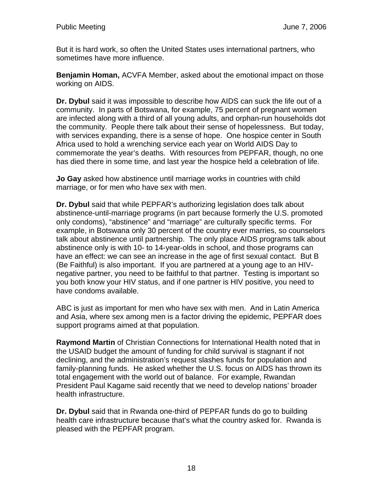But it is hard work, so often the United States uses international partners, who sometimes have more influence.

**Benjamin Homan,** ACVFA Member, asked about the emotional impact on those working on AIDS.

**Dr. Dybul** said it was impossible to describe how AIDS can suck the life out of a community. In parts of Botswana, for example, 75 percent of pregnant women are infected along with a third of all young adults, and orphan-run households dot the community. People there talk about their sense of hopelessness. But today, with services expanding, there is a sense of hope. One hospice center in South Africa used to hold a wrenching service each year on World AIDS Day to commemorate the year's deaths. With resources from PEPFAR, though, no one has died there in some time, and last year the hospice held a celebration of life.

**Jo Gay** asked how abstinence until marriage works in countries with child marriage, or for men who have sex with men.

**Dr. Dybul** said that while PEPFAR's authorizing legislation does talk about abstinence-until-marriage programs (in part because formerly the U.S. promoted only condoms), "abstinence" and "marriage" are culturally specific terms. For example, in Botswana only 30 percent of the country ever marries, so counselors talk about abstinence until partnership. The only place AIDS programs talk about abstinence only is with 10- to 14-year-olds in school, and those programs can have an effect: we can see an increase in the age of first sexual contact. But B (Be Faithful) is also important. If you are partnered at a young age to an HIVnegative partner, you need to be faithful to that partner. Testing is important so you both know your HIV status, and if one partner is HIV positive, you need to have condoms available.

ABC is just as important for men who have sex with men. And in Latin America and Asia, where sex among men is a factor driving the epidemic, PEPFAR does support programs aimed at that population.

**Raymond Martin** of Christian Connections for International Health noted that in the USAID budget the amount of funding for child survival is stagnant if not declining, and the administration's request slashes funds for population and family-planning funds. He asked whether the U.S. focus on AIDS has thrown its total engagement with the world out of balance. For example, Rwandan President Paul Kagame said recently that we need to develop nations' broader health infrastructure.

**Dr. Dybul** said that in Rwanda one-third of PEPFAR funds do go to building health care infrastructure because that's what the country asked for. Rwanda is pleased with the PEPFAR program.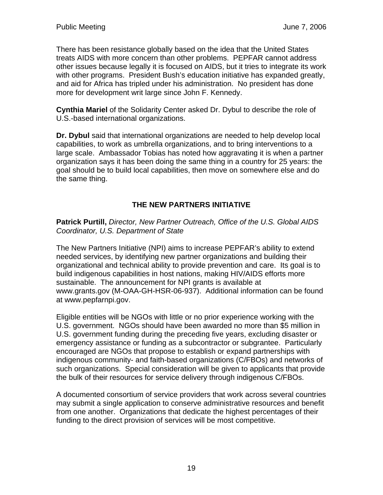There has been resistance globally based on the idea that the United States treats AIDS with more concern than other problems. PEPFAR cannot address other issues because legally it is focused on AIDS, but it tries to integrate its work with other programs. President Bush's education initiative has expanded greatly, and aid for Africa has tripled under his administration. No president has done more for development writ large since John F. Kennedy.

**Cynthia Mariel** of the Solidarity Center asked Dr. Dybul to describe the role of U.S.-based international organizations.

**Dr. Dybul** said that international organizations are needed to help develop local capabilities, to work as umbrella organizations, and to bring interventions to a large scale. Ambassador Tobias has noted how aggravating it is when a partner organization says it has been doing the same thing in a country for 25 years: the goal should be to build local capabilities, then move on somewhere else and do the same thing.

### **THE NEW PARTNERS INITIATIVE**

**Patrick Purtill,** *Director, New Partner Outreach, Office of the U.S. Global AIDS Coordinator, U.S. Department of State*

The New Partners Initiative (NPI) aims to increase PEPFAR's ability to extend needed services, by identifying new partner organizations and building their organizational and technical ability to provide prevention and care. Its goal is to build indigenous capabilities in host nations, making HIV/AIDS efforts more sustainable. The announcement for NPI grants is available at www.grants.gov (M-OAA-GH-HSR-06-937). Additional information can be found at www.pepfarnpi.gov.

Eligible entities will be NGOs with little or no prior experience working with the U.S. government. NGOs should have been awarded no more than \$5 million in U.S. government funding during the preceding five years, excluding disaster or emergency assistance or funding as a subcontractor or subgrantee. Particularly encouraged are NGOs that propose to establish or expand partnerships with indigenous community- and faith-based organizations (C/FBOs) and networks of such organizations. Special consideration will be given to applicants that provide the bulk of their resources for service delivery through indigenous C/FBOs.

A documented consortium of service providers that work across several countries may submit a single application to conserve administrative resources and benefit from one another. Organizations that dedicate the highest percentages of their funding to the direct provision of services will be most competitive.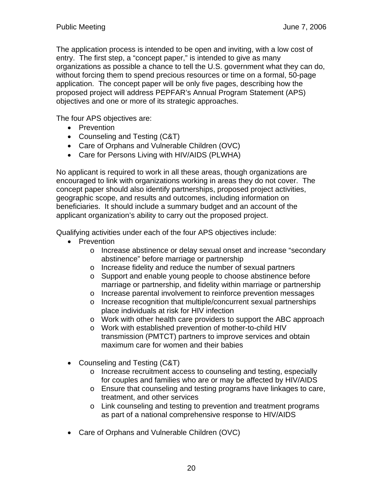The application process is intended to be open and inviting, with a low cost of entry. The first step, a "concept paper," is intended to give as many organizations as possible a chance to tell the U.S. government what they can do, without forcing them to spend precious resources or time on a formal, 50-page application. The concept paper will be only five pages, describing how the proposed project will address PEPFAR's Annual Program Statement (APS) objectives and one or more of its strategic approaches.

The four APS objectives are:

- Prevention
- Counseling and Testing (C&T)
- Care of Orphans and Vulnerable Children (OVC)
- Care for Persons Living with HIV/AIDS (PLWHA)

No applicant is required to work in all these areas, though organizations are encouraged to link with organizations working in areas they do not cover. The concept paper should also identify partnerships, proposed project activities, geographic scope, and results and outcomes, including information on beneficiaries. It should include a summary budget and an account of the applicant organization's ability to carry out the proposed project.

Qualifying activities under each of the four APS objectives include:

- Prevention
	- o Increase abstinence or delay sexual onset and increase "secondary abstinence" before marriage or partnership
	- o Increase fidelity and reduce the number of sexual partners
	- o Support and enable young people to choose abstinence before marriage or partnership, and fidelity within marriage or partnership
	- o Increase parental involvement to reinforce prevention messages
	- o Increase recognition that multiple/concurrent sexual partnerships place individuals at risk for HIV infection
	- o Work with other health care providers to support the ABC approach
	- o Work with established prevention of mother-to-child HIV transmission (PMTCT) partners to improve services and obtain maximum care for women and their babies
- Counseling and Testing (C&T)
	- o Increase recruitment access to counseling and testing, especially for couples and families who are or may be affected by HIV/AIDS
	- o Ensure that counseling and testing programs have linkages to care, treatment, and other services
	- o Link counseling and testing to prevention and treatment programs as part of a national comprehensive response to HIV/AIDS
- Care of Orphans and Vulnerable Children (OVC)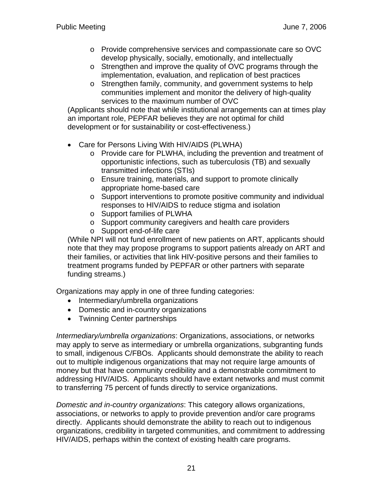- o Provide comprehensive services and compassionate care so OVC develop physically, socially, emotionally, and intellectually
- o Strengthen and improve the quality of OVC programs through the implementation, evaluation, and replication of best practices
- o Strengthen family, community, and government systems to help communities implement and monitor the delivery of high-quality services to the maximum number of OVC

(Applicants should note that while institutional arrangements can at times play an important role, PEPFAR believes they are not optimal for child development or for sustainability or cost-effectiveness.)

- Care for Persons Living With HIV/AIDS (PLWHA)
	- o Provide care for PLWHA, including the prevention and treatment of opportunistic infections, such as tuberculosis (TB) and sexually transmitted infections (STIs)
	- o Ensure training, materials, and support to promote clinically appropriate home-based care
	- o Support interventions to promote positive community and individual responses to HIV/AIDS to reduce stigma and isolation
	- o Support families of PLWHA
	- o Support community caregivers and health care providers
	- o Support end-of-life care

(While NPI will not fund enrollment of new patients on ART, applicants should note that they may propose programs to support patients already on ART and their families, or activities that link HIV-positive persons and their families to treatment programs funded by PEPFAR or other partners with separate funding streams.)

Organizations may apply in one of three funding categories:

- Intermediary/umbrella organizations
- Domestic and in-country organizations
- Twinning Center partnerships

*Intermediary/umbrella organizations*: Organizations, associations, or networks may apply to serve as intermediary or umbrella organizations, subgranting funds to small, indigenous C/FBOs. Applicants should demonstrate the ability to reach out to multiple indigenous organizations that may not require large amounts of money but that have community credibility and a demonstrable commitment to addressing HIV/AIDS. Applicants should have extant networks and must commit to transferring 75 percent of funds directly to service organizations.

*Domestic and in-country organizations*: This category allows organizations, associations, or networks to apply to provide prevention and/or care programs directly. Applicants should demonstrate the ability to reach out to indigenous organizations, credibility in targeted communities, and commitment to addressing HIV/AIDS, perhaps within the context of existing health care programs.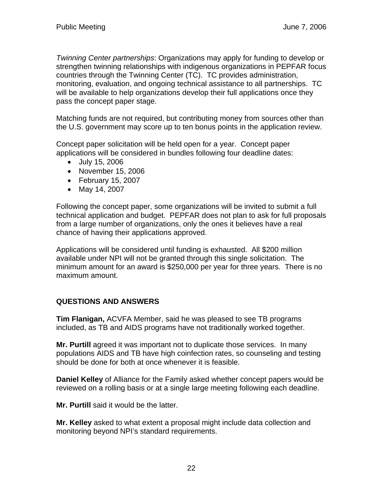*Twinning Center partnerships*: Organizations may apply for funding to develop or strengthen twinning relationships with indigenous organizations in PEPFAR focus countries through the Twinning Center (TC). TC provides administration, monitoring, evaluation, and ongoing technical assistance to all partnerships. TC will be available to help organizations develop their full applications once they pass the concept paper stage.

Matching funds are not required, but contributing money from sources other than the U.S. government may score up to ten bonus points in the application review.

Concept paper solicitation will be held open for a year. Concept paper applications will be considered in bundles following four deadline dates:

- July 15, 2006
- November 15, 2006
- February 15, 2007
- May 14, 2007

Following the concept paper, some organizations will be invited to submit a full technical application and budget. PEPFAR does not plan to ask for full proposals from a large number of organizations, only the ones it believes have a real chance of having their applications approved.

Applications will be considered until funding is exhausted. All \$200 million available under NPI will not be granted through this single solicitation. The minimum amount for an award is \$250,000 per year for three years. There is no maximum amount.

# **QUESTIONS AND ANSWERS**

**Tim Flanigan,** ACVFA Member, said he was pleased to see TB programs included, as TB and AIDS programs have not traditionally worked together.

**Mr. Purtill** agreed it was important not to duplicate those services. In many populations AIDS and TB have high coinfection rates, so counseling and testing should be done for both at once whenever it is feasible.

**Daniel Kelley** of Alliance for the Family asked whether concept papers would be reviewed on a rolling basis or at a single large meeting following each deadline.

**Mr. Purtill** said it would be the latter.

**Mr. Kelley** asked to what extent a proposal might include data collection and monitoring beyond NPI's standard requirements.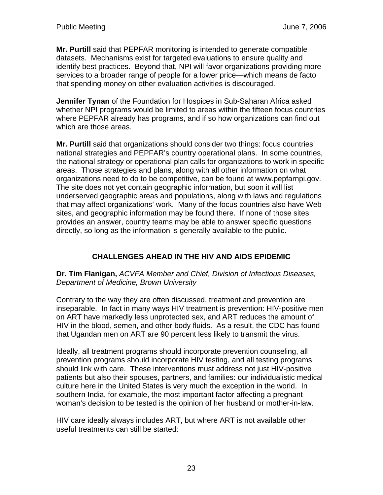**Mr. Purtill** said that PEPFAR monitoring is intended to generate compatible datasets. Mechanisms exist for targeted evaluations to ensure quality and identify best practices. Beyond that, NPI will favor organizations providing more services to a broader range of people for a lower price—which means de facto that spending money on other evaluation activities is discouraged.

**Jennifer Tynan** of the Foundation for Hospices in Sub-Saharan Africa asked whether NPI programs would be limited to areas within the fifteen focus countries where PEPFAR already has programs, and if so how organizations can find out which are those areas.

**Mr. Purtill** said that organizations should consider two things: focus countries' national strategies and PEPFAR's country operational plans. In some countries, the national strategy or operational plan calls for organizations to work in specific areas. Those strategies and plans, along with all other information on what organizations need to do to be competitive, can be found at www.pepfarnpi.gov. The site does not yet contain geographic information, but soon it will list underserved geographic areas and populations, along with laws and regulations that may affect organizations' work. Many of the focus countries also have Web sites, and geographic information may be found there. If none of those sites provides an answer, country teams may be able to answer specific questions directly, so long as the information is generally available to the public.

# **CHALLENGES AHEAD IN THE HIV AND AIDS EPIDEMIC**

#### **Dr. Tim Flanigan,** *ACVFA Member and Chief, Division of Infectious Diseases, Department of Medicine, Brown University*

Contrary to the way they are often discussed, treatment and prevention are inseparable. In fact in many ways HIV treatment is prevention: HIV-positive men on ART have markedly less unprotected sex, and ART reduces the amount of HIV in the blood, semen, and other body fluids. As a result, the CDC has found that Ugandan men on ART are 90 percent less likely to transmit the virus.

Ideally, all treatment programs should incorporate prevention counseling, all prevention programs should incorporate HIV testing, and all testing programs should link with care. These interventions must address not just HIV-positive patients but also their spouses, partners, and families: our individualistic medical culture here in the United States is very much the exception in the world. In southern India, for example, the most important factor affecting a pregnant woman's decision to be tested is the opinion of her husband or mother-in-law.

HIV care ideally always includes ART, but where ART is not available other useful treatments can still be started: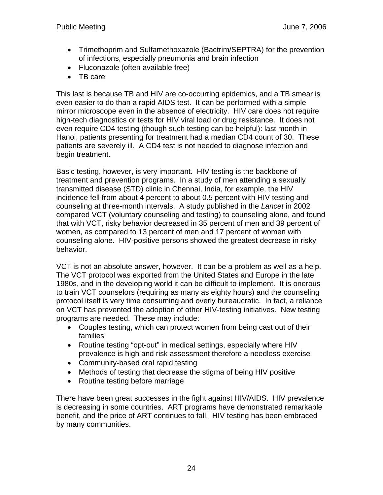- Trimethoprim and Sulfamethoxazole (Bactrim/SEPTRA) for the prevention of infections, especially pneumonia and brain infection
- Fluconazole (often available free)
- TB care

This last is because TB and HIV are co-occurring epidemics, and a TB smear is even easier to do than a rapid AIDS test. It can be performed with a simple mirror microscope even in the absence of electricity. HIV care does not require high-tech diagnostics or tests for HIV viral load or drug resistance. It does not even require CD4 testing (though such testing can be helpful): last month in Hanoi, patients presenting for treatment had a median CD4 count of 30. These patients are severely ill. A CD4 test is not needed to diagnose infection and begin treatment.

Basic testing, however, is very important. HIV testing is the backbone of treatment and prevention programs. In a study of men attending a sexually transmitted disease (STD) clinic in Chennai, India, for example, the HIV incidence fell from about 4 percent to about 0.5 percent with HIV testing and counseling at three-month intervals. A study published in the *Lancet* in 2002 compared VCT (voluntary counseling and testing) to counseling alone, and found that with VCT, risky behavior decreased in 35 percent of men and 39 percent of women, as compared to 13 percent of men and 17 percent of women with counseling alone. HIV-positive persons showed the greatest decrease in risky behavior.

VCT is not an absolute answer, however. It can be a problem as well as a help. The VCT protocol was exported from the United States and Europe in the late 1980s, and in the developing world it can be difficult to implement. It is onerous to train VCT counselors (requiring as many as eighty hours) and the counseling protocol itself is very time consuming and overly bureaucratic. In fact, a reliance on VCT has prevented the adoption of other HIV-testing initiatives. New testing programs are needed. These may include:

- Couples testing, which can protect women from being cast out of their families
- Routine testing "opt-out" in medical settings, especially where HIV prevalence is high and risk assessment therefore a needless exercise
- Community-based oral rapid testing
- Methods of testing that decrease the stigma of being HIV positive
- Routine testing before marriage

There have been great successes in the fight against HIV/AIDS. HIV prevalence is decreasing in some countries. ART programs have demonstrated remarkable benefit, and the price of ART continues to fall. HIV testing has been embraced by many communities.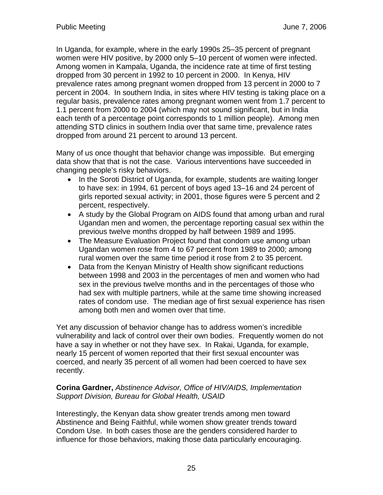In Uganda, for example, where in the early 1990s 25–35 percent of pregnant women were HIV positive, by 2000 only 5–10 percent of women were infected. Among women in Kampala, Uganda, the incidence rate at time of first testing dropped from 30 percent in 1992 to 10 percent in 2000. In Kenya, HIV prevalence rates among pregnant women dropped from 13 percent in 2000 to 7 percent in 2004. In southern India, in sites where HIV testing is taking place on a regular basis, prevalence rates among pregnant women went from 1.7 percent to 1.1 percent from 2000 to 2004 (which may not sound significant, but in India each tenth of a percentage point corresponds to 1 million people). Among men attending STD clinics in southern India over that same time, prevalence rates dropped from around 21 percent to around 13 percent.

Many of us once thought that behavior change was impossible. But emerging data show that that is not the case. Various interventions have succeeded in changing people's risky behaviors.

- In the Soroti District of Uganda, for example, students are waiting longer to have sex: in 1994, 61 percent of boys aged 13–16 and 24 percent of girls reported sexual activity; in 2001, those figures were 5 percent and 2 percent, respectively.
- A study by the Global Program on AIDS found that among urban and rural Ugandan men and women, the percentage reporting casual sex within the previous twelve months dropped by half between 1989 and 1995.
- The Measure Evaluation Project found that condom use among urban Ugandan women rose from 4 to 67 percent from 1989 to 2000; among rural women over the same time period it rose from 2 to 35 percent.
- Data from the Kenyan Ministry of Health show significant reductions between 1998 and 2003 in the percentages of men and women who had sex in the previous twelve months and in the percentages of those who had sex with multiple partners, while at the same time showing increased rates of condom use. The median age of first sexual experience has risen among both men and women over that time.

Yet any discussion of behavior change has to address women's incredible vulnerability and lack of control over their own bodies. Frequently women do not have a say in whether or not they have sex. In Rakai, Uganda, for example, nearly 15 percent of women reported that their first sexual encounter was coerced, and nearly 35 percent of all women had been coerced to have sex recently.

#### **Corina Gardner,** *Abstinence Advisor, Office of HIV/AIDS, Implementation Support Division, Bureau for Global Health, USAID*

Interestingly, the Kenyan data show greater trends among men toward Abstinence and Being Faithful, while women show greater trends toward Condom Use. In both cases those are the genders considered harder to influence for those behaviors, making those data particularly encouraging.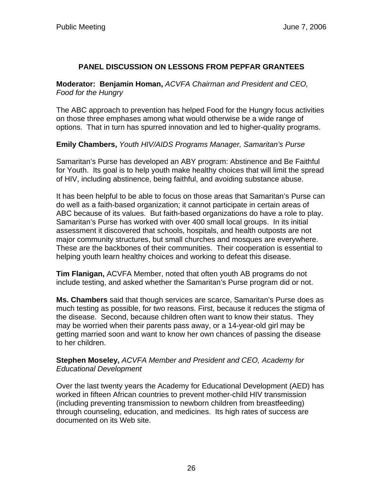#### **PANEL DISCUSSION ON LESSONS FROM PEPFAR GRANTEES**

**Moderator: Benjamin Homan,** *ACVFA Chairman and President and CEO, Food for the Hungry*

The ABC approach to prevention has helped Food for the Hungry focus activities on those three emphases among what would otherwise be a wide range of options. That in turn has spurred innovation and led to higher-quality programs.

**Emily Chambers,** *Youth HIV/AIDS Programs Manager, Samaritan's Purse*

Samaritan's Purse has developed an ABY program: Abstinence and Be Faithful for Youth. Its goal is to help youth make healthy choices that will limit the spread of HIV, including abstinence, being faithful, and avoiding substance abuse.

It has been helpful to be able to focus on those areas that Samaritan's Purse can do well as a faith-based organization; it cannot participate in certain areas of ABC because of its values. But faith-based organizations do have a role to play. Samaritan's Purse has worked with over 400 small local groups. In its initial assessment it discovered that schools, hospitals, and health outposts are not major community structures, but small churches and mosques are everywhere. These are the backbones of their communities. Their cooperation is essential to helping youth learn healthy choices and working to defeat this disease.

**Tim Flanigan,** ACVFA Member, noted that often youth AB programs do not include testing, and asked whether the Samaritan's Purse program did or not.

**Ms. Chambers** said that though services are scarce, Samaritan's Purse does as much testing as possible, for two reasons. First, because it reduces the stigma of the disease. Second, because children often want to know their status. They may be worried when their parents pass away, or a 14-year-old girl may be getting married soon and want to know her own chances of passing the disease to her children.

**Stephen Moseley,** *ACVFA Member and President and CEO, Academy for Educational Development*

Over the last twenty years the Academy for Educational Development (AED) has worked in fifteen African countries to prevent mother-child HIV transmission (including preventing transmission to newborn children from breastfeeding) through counseling, education, and medicines. Its high rates of success are documented on its Web site.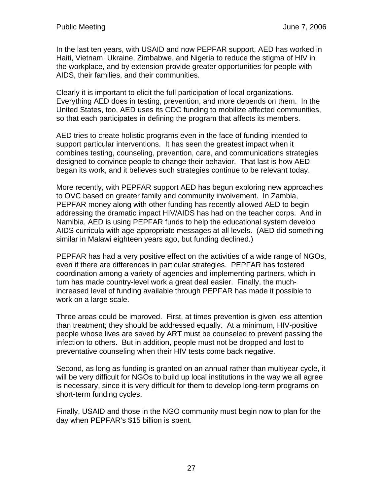In the last ten years, with USAID and now PEPFAR support, AED has worked in Haiti, Vietnam, Ukraine, Zimbabwe, and Nigeria to reduce the stigma of HIV in the workplace, and by extension provide greater opportunities for people with AIDS, their families, and their communities.

Clearly it is important to elicit the full participation of local organizations. Everything AED does in testing, prevention, and more depends on them. In the United States, too, AED uses its CDC funding to mobilize affected communities, so that each participates in defining the program that affects its members.

AED tries to create holistic programs even in the face of funding intended to support particular interventions. It has seen the greatest impact when it combines testing, counseling, prevention, care, and communications strategies designed to convince people to change their behavior. That last is how AED began its work, and it believes such strategies continue to be relevant today.

More recently, with PEPFAR support AED has begun exploring new approaches to OVC based on greater family and community involvement. In Zambia, PEPFAR money along with other funding has recently allowed AED to begin addressing the dramatic impact HIV/AIDS has had on the teacher corps. And in Namibia, AED is using PEPFAR funds to help the educational system develop AIDS curricula with age-appropriate messages at all levels. (AED did something similar in Malawi eighteen years ago, but funding declined.)

PEPFAR has had a very positive effect on the activities of a wide range of NGOs, even if there are differences in particular strategies. PEPFAR has fostered coordination among a variety of agencies and implementing partners, which in turn has made country-level work a great deal easier. Finally, the muchincreased level of funding available through PEPFAR has made it possible to work on a large scale.

Three areas could be improved. First, at times prevention is given less attention than treatment; they should be addressed equally. At a minimum, HIV-positive people whose lives are saved by ART must be counseled to prevent passing the infection to others. But in addition, people must not be dropped and lost to preventative counseling when their HIV tests come back negative.

Second, as long as funding is granted on an annual rather than multiyear cycle, it will be very difficult for NGOs to build up local institutions in the way we all agree is necessary, since it is very difficult for them to develop long-term programs on short-term funding cycles.

Finally, USAID and those in the NGO community must begin now to plan for the day when PEPFAR's \$15 billion is spent.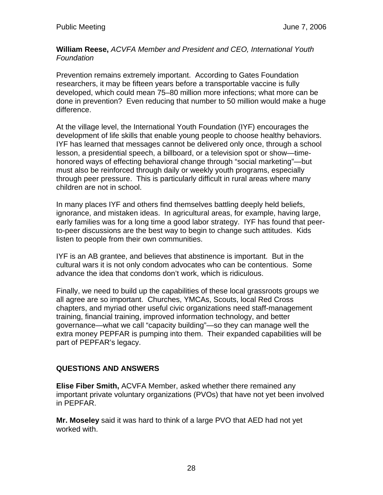**William Reese,** *ACVFA Member and President and CEO, International Youth Foundation*

Prevention remains extremely important. According to Gates Foundation researchers, it may be fifteen years before a transportable vaccine is fully developed, which could mean 75–80 million more infections; what more can be done in prevention? Even reducing that number to 50 million would make a huge difference.

At the village level, the International Youth Foundation (IYF) encourages the development of life skills that enable young people to choose healthy behaviors. IYF has learned that messages cannot be delivered only once, through a school lesson, a presidential speech, a billboard, or a television spot or show—timehonored ways of effecting behavioral change through "social marketing"—but must also be reinforced through daily or weekly youth programs, especially through peer pressure. This is particularly difficult in rural areas where many children are not in school.

In many places IYF and others find themselves battling deeply held beliefs, ignorance, and mistaken ideas. In agricultural areas, for example, having large, early families was for a long time a good labor strategy. IYF has found that peerto-peer discussions are the best way to begin to change such attitudes. Kids listen to people from their own communities.

IYF is an AB grantee, and believes that abstinence is important. But in the cultural wars it is not only condom advocates who can be contentious. Some advance the idea that condoms don't work, which is ridiculous.

Finally, we need to build up the capabilities of these local grassroots groups we all agree are so important. Churches, YMCAs, Scouts, local Red Cross chapters, and myriad other useful civic organizations need staff-management training, financial training, improved information technology, and better governance—what we call "capacity building"—so they can manage well the extra money PEPFAR is pumping into them. Their expanded capabilities will be part of PEPFAR's legacy.

# **QUESTIONS AND ANSWERS**

**Elise Fiber Smith,** ACVFA Member, asked whether there remained any important private voluntary organizations (PVOs) that have not yet been involved in PEPFAR.

**Mr. Moseley** said it was hard to think of a large PVO that AED had not yet worked with.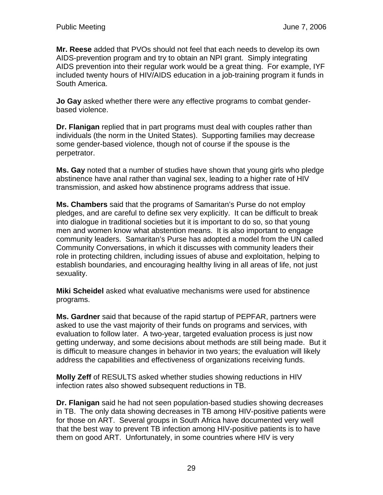**Mr. Reese** added that PVOs should not feel that each needs to develop its own AIDS-prevention program and try to obtain an NPI grant. Simply integrating AIDS prevention into their regular work would be a great thing. For example, IYF included twenty hours of HIV/AIDS education in a job-training program it funds in South America.

**Jo Gay** asked whether there were any effective programs to combat genderbased violence.

**Dr. Flanigan** replied that in part programs must deal with couples rather than individuals (the norm in the United States). Supporting families may decrease some gender-based violence, though not of course if the spouse is the perpetrator.

**Ms. Gay** noted that a number of studies have shown that young girls who pledge abstinence have anal rather than vaginal sex, leading to a higher rate of HIV transmission, and asked how abstinence programs address that issue.

**Ms. Chambers** said that the programs of Samaritan's Purse do not employ pledges, and are careful to define sex very explicitly. It can be difficult to break into dialogue in traditional societies but it is important to do so, so that young men and women know what abstention means. It is also important to engage community leaders. Samaritan's Purse has adopted a model from the UN called Community Conversations, in which it discusses with community leaders their role in protecting children, including issues of abuse and exploitation, helping to establish boundaries, and encouraging healthy living in all areas of life, not just sexuality.

**Miki Scheidel** asked what evaluative mechanisms were used for abstinence programs.

**Ms. Gardner** said that because of the rapid startup of PEPFAR, partners were asked to use the vast majority of their funds on programs and services, with evaluation to follow later. A two-year, targeted evaluation process is just now getting underway, and some decisions about methods are still being made. But it is difficult to measure changes in behavior in two years; the evaluation will likely address the capabilities and effectiveness of organizations receiving funds.

**Molly Zeff** of RESULTS asked whether studies showing reductions in HIV infection rates also showed subsequent reductions in TB.

**Dr. Flanigan** said he had not seen population-based studies showing decreases in TB. The only data showing decreases in TB among HIV-positive patients were for those on ART. Several groups in South Africa have documented very well that the best way to prevent TB infection among HIV-positive patients is to have them on good ART. Unfortunately, in some countries where HIV is very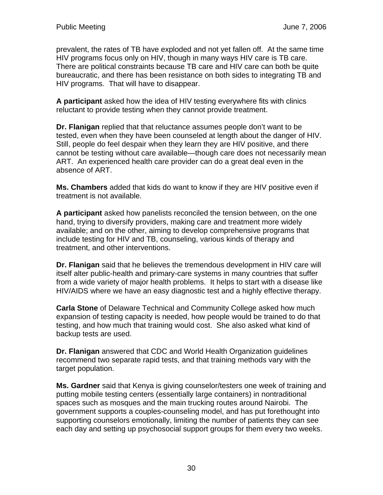prevalent, the rates of TB have exploded and not yet fallen off. At the same time HIV programs focus only on HIV, though in many ways HIV care is TB care. There are political constraints because TB care and HIV care can both be quite bureaucratic, and there has been resistance on both sides to integrating TB and HIV programs. That will have to disappear.

**A participant** asked how the idea of HIV testing everywhere fits with clinics reluctant to provide testing when they cannot provide treatment.

**Dr. Flanigan** replied that that reluctance assumes people don't want to be tested, even when they have been counseled at length about the danger of HIV. Still, people do feel despair when they learn they are HIV positive, and there cannot be testing without care available—though care does not necessarily mean ART. An experienced health care provider can do a great deal even in the absence of ART.

**Ms. Chambers** added that kids do want to know if they are HIV positive even if treatment is not available.

**A participant** asked how panelists reconciled the tension between, on the one hand, trying to diversify providers, making care and treatment more widely available; and on the other, aiming to develop comprehensive programs that include testing for HIV and TB, counseling, various kinds of therapy and treatment, and other interventions.

**Dr. Flanigan** said that he believes the tremendous development in HIV care will itself alter public-health and primary-care systems in many countries that suffer from a wide variety of major health problems. It helps to start with a disease like HIV/AIDS where we have an easy diagnostic test and a highly effective therapy.

**Carla Stone** of Delaware Technical and Community College asked how much expansion of testing capacity is needed, how people would be trained to do that testing, and how much that training would cost. She also asked what kind of backup tests are used.

**Dr. Flanigan** answered that CDC and World Health Organization guidelines recommend two separate rapid tests, and that training methods vary with the target population.

**Ms. Gardner** said that Kenya is giving counselor/testers one week of training and putting mobile testing centers (essentially large containers) in nontraditional spaces such as mosques and the main trucking routes around Nairobi. The government supports a couples-counseling model, and has put forethought into supporting counselors emotionally, limiting the number of patients they can see each day and setting up psychosocial support groups for them every two weeks.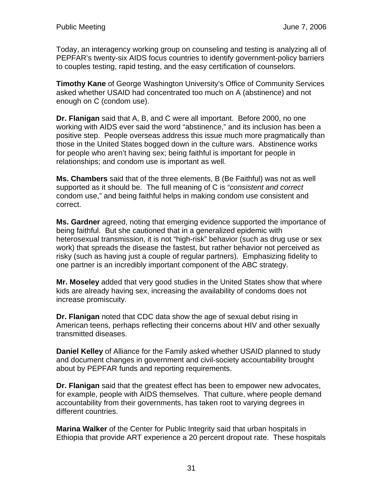Today, an interagency working group on counseling and testing is analyzing all of PEPFAR's twenty-six AIDS focus countries to identify government-policy barriers to couples testing, rapid testing, and the easy certification of counselors.

**Timothy Kane** of George Washington University's Office of Community Services asked whether USAID had concentrated too much on A (abstinence) and not enough on C (condom use).

**Dr. Flanigan** said that A, B, and C were all important. Before 2000, no one working with AIDS ever said the word "abstinence," and its inclusion has been a positive step. People overseas address this issue much more pragmatically than those in the United States bogged down in the culture wars. Abstinence works for people who aren't having sex; being faithful is important for people in relationships; and condom use is important as well.

**Ms. Chambers** said that of the three elements, B (Be Faithful) was not as well supported as it should be. The full meaning of C is "*consistent and correct* condom use," and being faithful helps in making condom use consistent and correct.

**Ms. Gardner** agreed, noting that emerging evidence supported the importance of being faithful. But she cautioned that in a generalized epidemic with heterosexual transmission, it is not "high-risk" behavior (such as drug use or sex work) that spreads the disease the fastest, but rather behavior not perceived as risky (such as having just a couple of regular partners). Emphasizing fidelity to one partner is an incredibly important component of the ABC strategy.

**Mr. Moseley** added that very good studies in the United States show that where kids are already having sex, increasing the availability of condoms does not increase promiscuity.

**Dr. Flanigan** noted that CDC data show the age of sexual debut rising in American teens, perhaps reflecting their concerns about HIV and other sexually transmitted diseases.

**Daniel Kelley** of Alliance for the Family asked whether USAID planned to study and document changes in government and civil-society accountability brought about by PEPFAR funds and reporting requirements.

**Dr. Flanigan** said that the greatest effect has been to empower new advocates, for example, people with AIDS themselves. That culture, where people demand accountability from their governments, has taken root to varying degrees in different countries.

**Marina Walker** of the Center for Public Integrity said that urban hospitals in Ethiopia that provide ART experience a 20 percent dropout rate. These hospitals